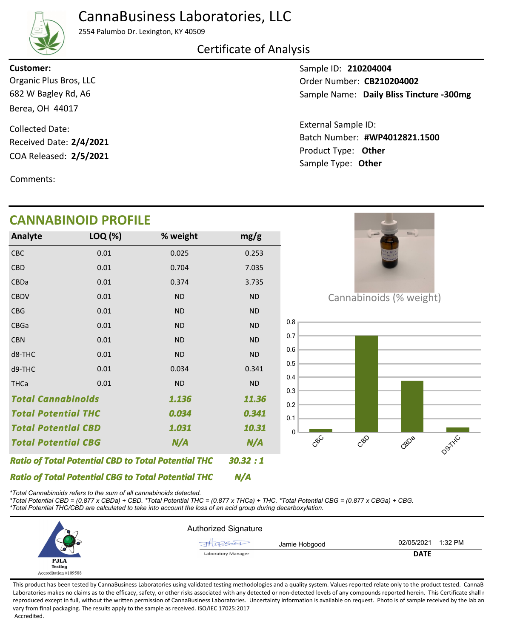# CannaBusiness Laboratories, LLC



#### 2554 Palumbo Dr. Lexington, KY 40509

# Certificate of Analysis

**Customer:**

682 W Bagley Rd, A6 Berea, OH 44017 Organic Plus Bros, LLC

COA Released: 2/5/2021 Collected Date: Received Date: **2/4/2021**

Comments:

### Sample ID: **210204004** Sample Name: Daily Bliss Tincture -300mg Order Number: CB210204002

Product Type: **Other 2/5/2021 #WP4012821.1500** Batch Number: External Sample ID: Sample Type: **Other**

|                                                            | <b>CANNABINOID PROFILE</b> |                                                            |           |                         |
|------------------------------------------------------------|----------------------------|------------------------------------------------------------|-----------|-------------------------|
| Analyte                                                    | LOQ (%)                    | % weight                                                   | mg/g      |                         |
| CBC                                                        | 0.01                       | 0.025                                                      | 0.253     |                         |
| CBD                                                        | 0.01                       | 0.704                                                      | 7.035     |                         |
| CBDa                                                       | 0.01                       | 0.374                                                      | 3.735     |                         |
| <b>CBDV</b>                                                | 0.01                       | <b>ND</b>                                                  | ND        | Cannabinoids (% weight) |
| <b>CBG</b>                                                 | 0.01                       | <b>ND</b>                                                  | ND        |                         |
| CBGa                                                       | 0.01                       | <b>ND</b>                                                  | ND        | 0.8                     |
| <b>CBN</b>                                                 | 0.01                       | <b>ND</b>                                                  | <b>ND</b> | 0.7                     |
| d8-THC                                                     | 0.01                       | <b>ND</b>                                                  | <b>ND</b> | 0.6                     |
| d9-THC                                                     | 0.01                       | 0.034                                                      | 0.341     | 0.5                     |
| <b>THCa</b>                                                | 0.01                       | <b>ND</b>                                                  | <b>ND</b> | 0.4<br>0.3              |
| <b>Total Cannabinoids</b>                                  |                            | 1.136                                                      | 11.36     | 0.2                     |
| <b>Total Potential THC</b>                                 |                            | 0.034                                                      | 0.341     | 0.1                     |
| <b>Total Potential CBD</b>                                 |                            | 1.031                                                      | 10.31     | $\mathbf{0}$            |
| <b>Total Potential CBG</b>                                 |                            | N/A                                                        | N/A       | CBC<br>CBO<br>GBDB      |
|                                                            |                            | <b>Ratio of Total Potential CBD to Total Potential THC</b> | 30.32:1   |                         |
| <b>Ratio of Total Potential CBG to Total Potential THC</b> |                            |                                                            | N/A       |                         |

*\*Total Cannabinoids refers to the sum of all cannabinoids detected.*

*\*Total Potential CBD = (0.877 x CBDa) + CBD. \*Total Potential THC = (0.877 x THCa) + THC. \*Total Potential CBG = (0.877 x CBGa) + CBG. \*Total Potential THC/CBD are calculated to take into account the loss of an acid group during decarboxylation.*



This product has been tested by CannaBusiness Laboratories using validated testing methodologies and a quality system. Values reported relate only to the product tested. CannaB Laboratories makes no claims as to the efficacy, safety, or other risks associated with any detected or non-detected levels of any compounds reported herein. This Certificate shall r reproduced except in full, without the written permission of CannaBusiness Laboratories. Uncertainty information is available on request. Photo is of sample received by the lab an vary from final packaging. The results apply to the sample as received. ISO/IEC 17025:2017 Accredited.